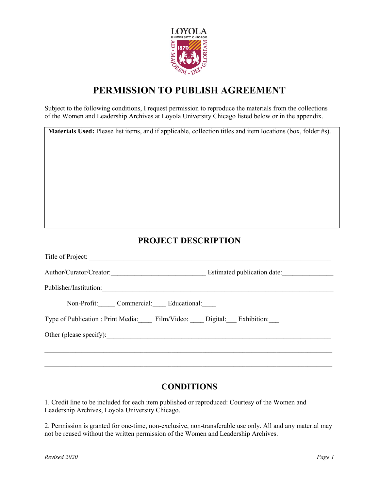

## **PERMISSION TO PUBLISH AGREEMENT**

Subject to the following conditions, I request permission to reproduce the materials from the collections of the Women and Leadership Archives at Loyola University Chicago listed below or in the appendix.

| Materials Used: Please list items, and if applicable, collection titles and item locations (box, folder #s).                                                                                                                   |  |  |
|--------------------------------------------------------------------------------------------------------------------------------------------------------------------------------------------------------------------------------|--|--|
| <b>PROJECT DESCRIPTION</b>                                                                                                                                                                                                     |  |  |
|                                                                                                                                                                                                                                |  |  |
|                                                                                                                                                                                                                                |  |  |
| Publisher/Institution: example and the contract of the contract of the contract of the contract of the contract of the contract of the contract of the contract of the contract of the contract of the contract of the contrac |  |  |
| Non-Profit: Commercial: Educational:                                                                                                                                                                                           |  |  |
| Type of Publication : Print Media: Film/Video: Digital: Exhibition:                                                                                                                                                            |  |  |
|                                                                                                                                                                                                                                |  |  |

## **CONDITIONS**

 $\mathcal{L}_\mathcal{L} = \{ \mathcal{L}_\mathcal{L} = \{ \mathcal{L}_\mathcal{L} = \{ \mathcal{L}_\mathcal{L} = \{ \mathcal{L}_\mathcal{L} = \{ \mathcal{L}_\mathcal{L} = \{ \mathcal{L}_\mathcal{L} = \{ \mathcal{L}_\mathcal{L} = \{ \mathcal{L}_\mathcal{L} = \{ \mathcal{L}_\mathcal{L} = \{ \mathcal{L}_\mathcal{L} = \{ \mathcal{L}_\mathcal{L} = \{ \mathcal{L}_\mathcal{L} = \{ \mathcal{L}_\mathcal{L} = \{ \mathcal{L}_\mathcal{$ 

1. Credit line to be included for each item published or reproduced: Courtesy of the Women and Leadership Archives, Loyola University Chicago.

2. Permission is granted for one-time, non-exclusive, non-transferable use only. All and any material may not be reused without the written permission of the Women and Leadership Archives.